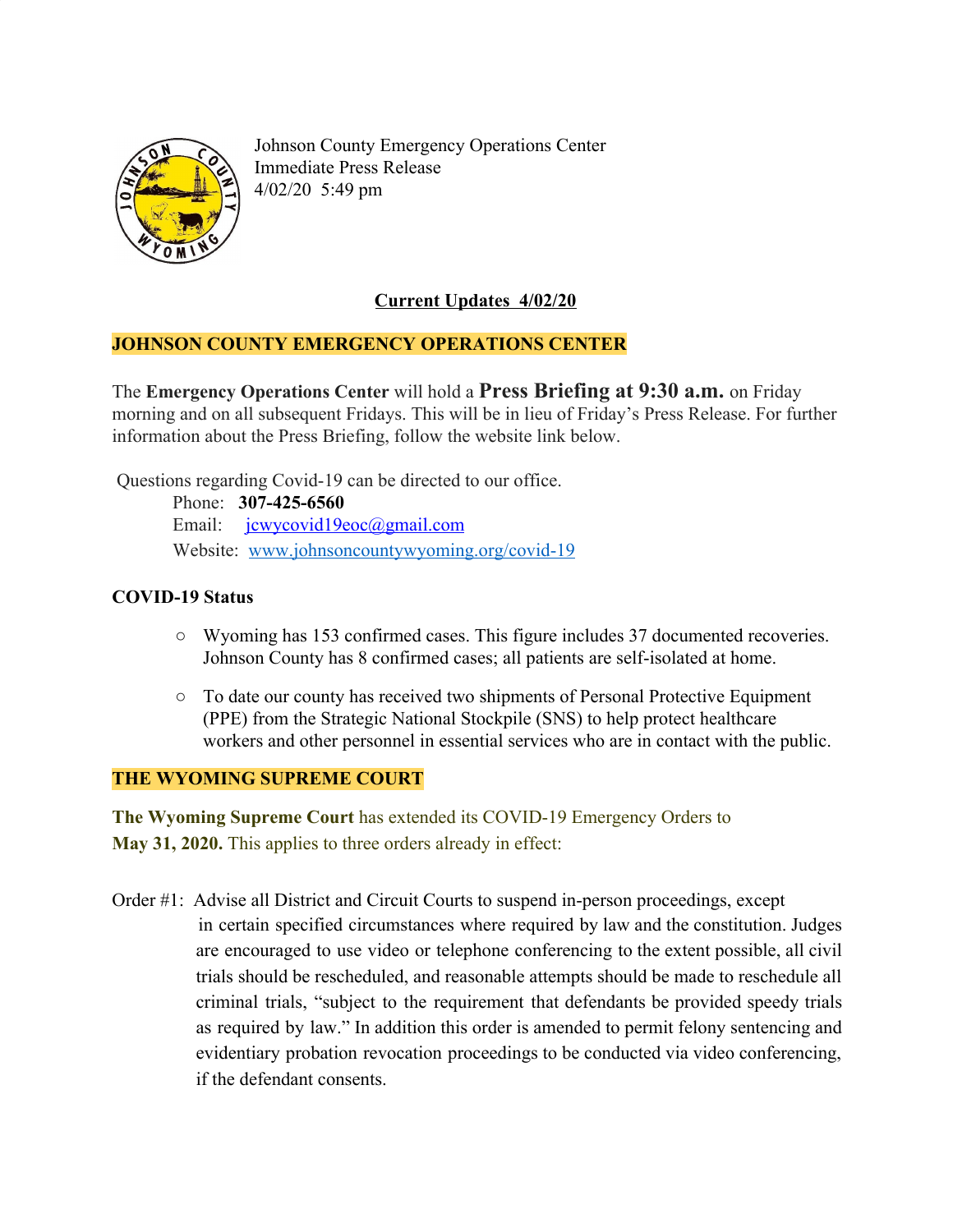

Johnson County Emergency Operations Center Immediate Press Release 4/02/20 5:49 pm

# **Current Updates 4/02/20**

## **JOHNSON COUNTY EMERGENCY OPERATIONS CENTER**

The **Emergency Operations Center** will hold a **Press Briefing at 9:30 a.m.** on Friday morning and on all subsequent Fridays. This will be in lieu of Friday's Press Release. For further information about the Press Briefing, follow the website link below.

Questions regarding Covid-19 can be directed to our office.

 Phone: **307-425-6560** Email: [jcwycovid19eoc@gmail.com](mailto:jcwycovid19eoc@gmail.com) Website: [www.johnsoncountywyoming.org/covid-19](http://www.johnsoncountywyoming.org/covid-19)

# **COVID-19 Status**

- **○** Wyoming has 153 confirmed cases. This figure includes 37 documented recoveries. Johnson County has 8 confirmed cases; all patients are self-isolated at home.
- **○** To date our county has received two shipments of Personal Protective Equipment (PPE) from the Strategic National Stockpile (SNS) to help protect healthcare workers and other personnel in essential services who are in contact with the public.

## **THE WYOMING SUPREME COURT**

**The Wyoming Supreme Court** has extended its COVID-19 Emergency Orders to **May 31, 2020.** This applies to three orders already in effect:

Order #1: Advise all District and Circuit Courts to suspend in-person proceedings, except in certain specified circumstances where required by law and the constitution. Judges are encouraged to use video or telephone conferencing to the extent possible, all civil trials should be rescheduled, and reasonable attempts should be made to reschedule all criminal trials, "subject to the requirement that defendants be provided speedy trials as required by law." In addition this order is amended to permit felony sentencing and evidentiary probation revocation proceedings to be conducted via video conferencing, if the defendant consents.